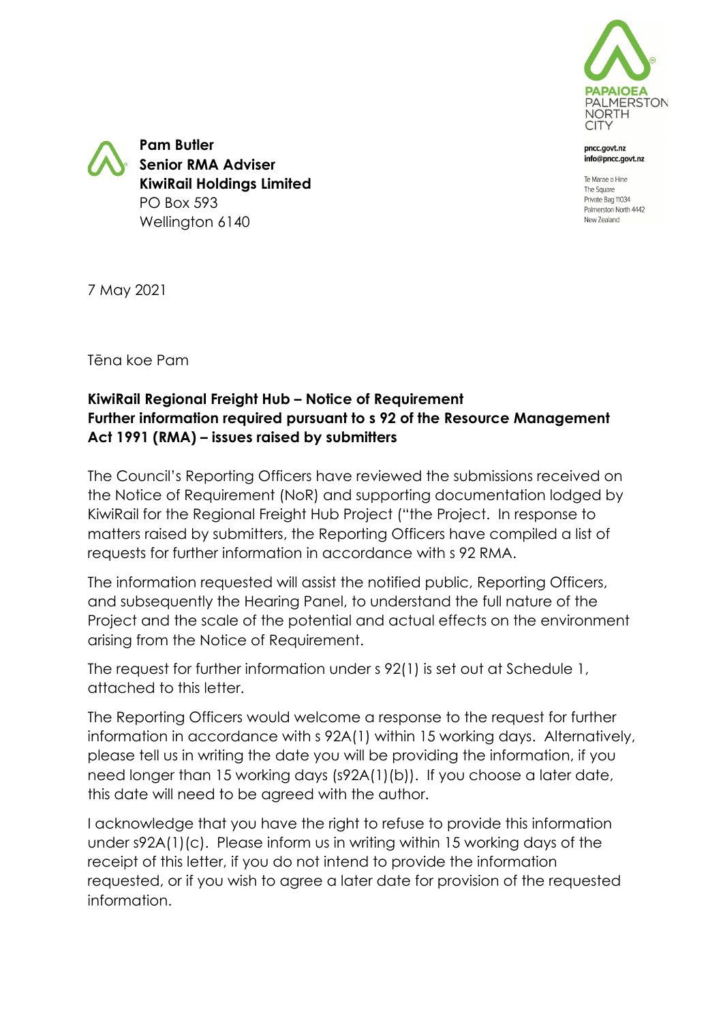

ncc.govt.nz info@pncc.govt.nz

Te Marae o Hine The Square Private Bag 11034 Palmerston North 4442 New Zealand

**Pam Butler Senior RMA Adviser KiwiRail Holdings Limited** PO Box 593 Wellington 6140

7 May 2021

Tēna koe Pam

### **KiwiRail Regional Freight Hub – Notice of Requirement Further information required pursuant to s 92 of the Resource Management Act 1991 (RMA) – issues raised by submitters**

The Council's Reporting Officers have reviewed the submissions received on the Notice of Requirement (NoR) and supporting documentation lodged by KiwiRail for the Regional Freight Hub Project ("the Project. In response to matters raised by submitters, the Reporting Officers have compiled a list of requests for further information in accordance with s 92 RMA.

The information requested will assist the notified public, Reporting Officers, and subsequently the Hearing Panel, to understand the full nature of the Project and the scale of the potential and actual effects on the environment arising from the Notice of Requirement.

The request for further information under s 92(1) is set out at Schedule 1, attached to this letter.

The Reporting Officers would welcome a response to the request for further information in accordance with s 92A(1) within 15 working days. Alternatively, please tell us in writing the date you will be providing the information, if you need longer than 15 working days (s92A(1)(b)). If you choose a later date, this date will need to be agreed with the author.

I acknowledge that you have the right to refuse to provide this information under s92A(1)(c). Please inform us in writing within 15 working days of the receipt of this letter, if you do not intend to provide the information requested, or if you wish to agree a later date for provision of the requested information.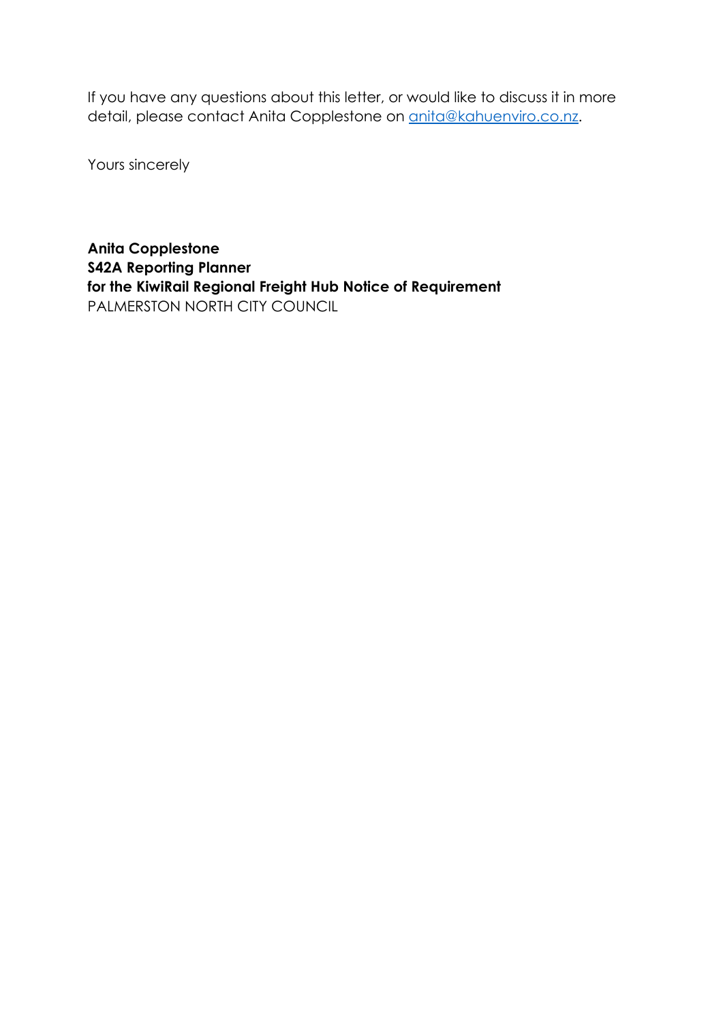If you have any questions about this letter, or would like to discuss it in more detail, please contact Anita Copplestone on **anita@kahuenviro.co.nz**.

Yours sincerely

**Anita Copplestone S42A Reporting Planner for the KiwiRail Regional Freight Hub Notice of Requirement** PALMERSTON NORTH CITY COUNCIL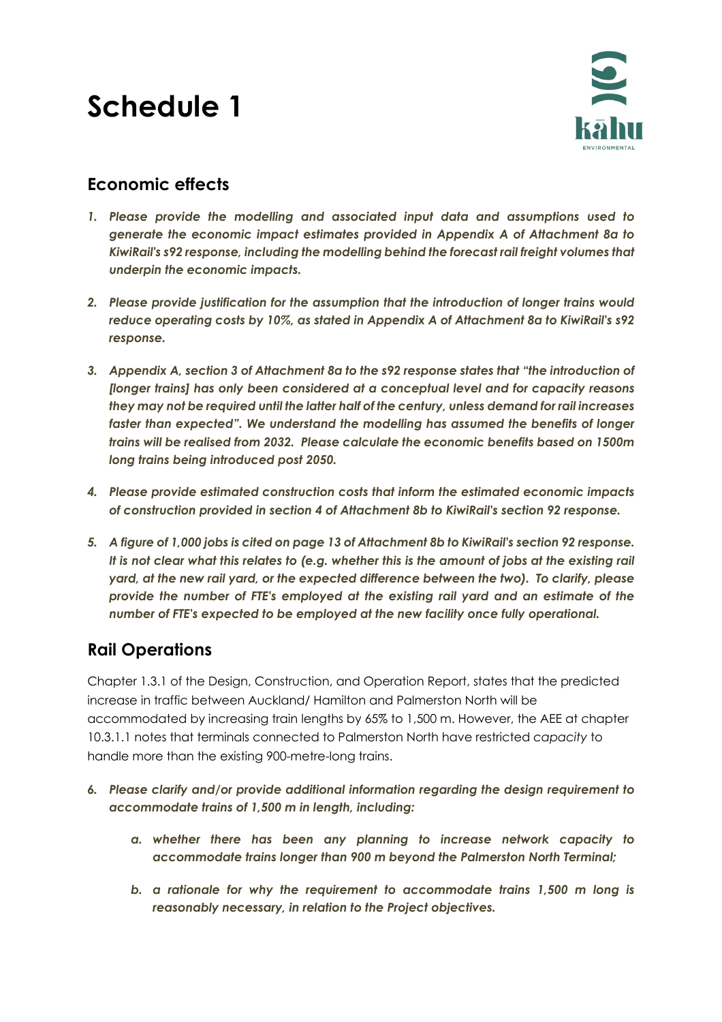# **Schedule 1**



# **Economic effects**

- *1. Please provide the modelling and associated input data and assumptions used to generate the economic impact estimates provided in Appendix A of Attachment 8a to KiwiRail's s92 response, including the modelling behind the forecast rail freight volumes that underpin the economic impacts.*
- *2. Please provide justification for the assumption that the introduction of longer trains would reduce operating costs by 10%, as stated in Appendix A of Attachment 8a to KiwiRail's s92 response.*
- *3. Appendix A, section 3 of Attachment 8a to the s92 response states that "the introduction of [longer trains] has only been considered at a conceptual level and for capacity reasons they may not be required until the latter half of the century, unless demand for rail increases faster than expected". We understand the modelling has assumed the benefits of longer trains will be realised from 2032. Please calculate the economic benefits based on 1500m long trains being introduced post 2050.*
- *4. Please provide estimated construction costs that inform the estimated economic impacts of construction provided in section 4 of Attachment 8b to KiwiRail's section 92 response.*
- *5. A figure of 1,000 jobs is cited on page 13 of Attachment 8b to KiwiRail's section 92 response. It is not clear what this relates to (e.g. whether this is the amount of jobs at the existing rail yard, at the new rail yard, or the expected difference between the two). To clarify, please provide the number of FTE's employed at the existing rail yard and an estimate of the number of FTE's expected to be employed at the new facility once fully operational.*

# **Rail Operations**

Chapter 1.3.1 of the Design, Construction, and Operation Report, states that the predicted increase in traffic between Auckland/ Hamilton and Palmerston North will be accommodated by increasing train lengths by 65% to 1,500 m. However, the AEE at chapter 10.3.1.1 notes that terminals connected to Palmerston North have restricted *capacity* to handle more than the existing 900-metre-long trains.

- *6. Please clarify and/or provide additional information regarding the design requirement to accommodate trains of 1,500 m in length, including:*
	- *a. whether there has been any planning to increase network capacity to accommodate trains longer than 900 m beyond the Palmerston North Terminal;*
	- *b. a rationale for why the requirement to accommodate trains 1,500 m long is reasonably necessary, in relation to the Project objectives.*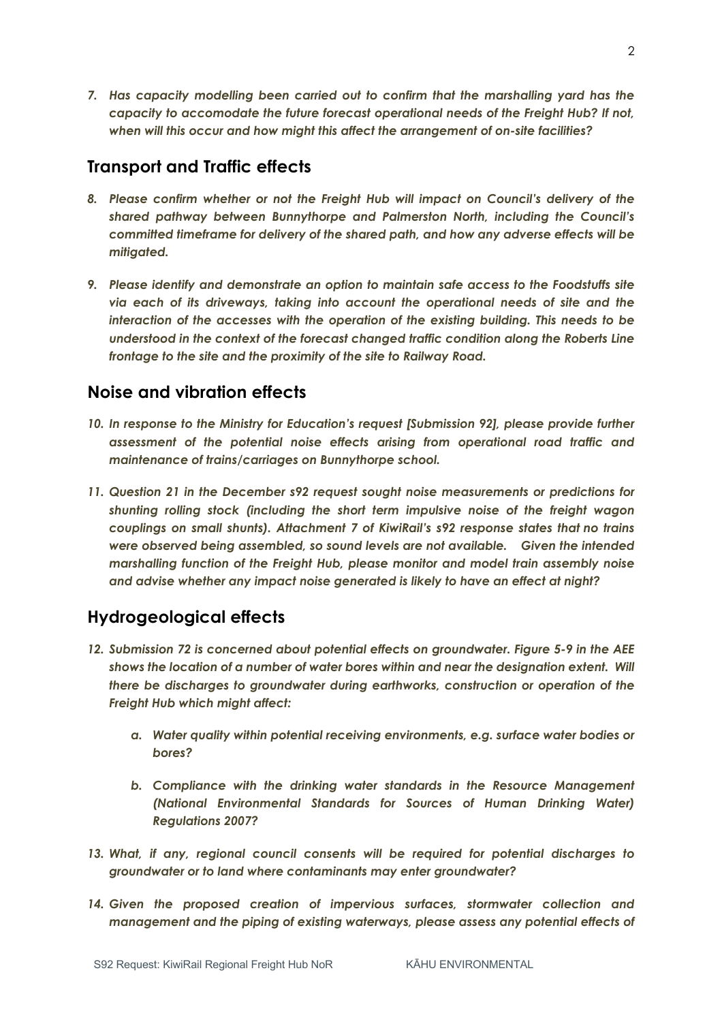*7. Has capacity modelling been carried out to confirm that the marshalling yard has the capacity to accomodate the future forecast operational needs of the Freight Hub? If not, when will this occur and how might this affect the arrangement of on-site facilities?*

#### **Transport and Traffic effects**

- *8. Please confirm whether or not the Freight Hub will impact on Council's delivery of the shared pathway between Bunnythorpe and Palmerston North, including the Council's committed timeframe for delivery of the shared path, and how any adverse effects will be mitigated.*
- *9. Please identify and demonstrate an option to maintain safe access to the Foodstuffs site via each of its driveways, taking into account the operational needs of site and the interaction of the accesses with the operation of the existing building. This needs to be understood in the context of the forecast changed traffic condition along the Roberts Line frontage to the site and the proximity of the site to Railway Road.*

## **Noise and vibration effects**

- *10. In response to the Ministry for Education's request [Submission 92], please provide further assessment of the potential noise effects arising from operational road traffic and maintenance of trains/carriages on Bunnythorpe school.*
- *11. Question 21 in the December s92 request sought noise measurements or predictions for shunting rolling stock (including the short term impulsive noise of the freight wagon couplings on small shunts). Attachment 7 of KiwiRail's s92 response states that no trains were observed being assembled, so sound levels are not available. Given the intended marshalling function of the Freight Hub, please monitor and model train assembly noise and advise whether any impact noise generated is likely to have an effect at night?*

# **Hydrogeological effects**

- *12. Submission 72 is concerned about potential effects on groundwater. Figure 5-9 in the AEE shows the location of a number of water bores within and near the designation extent. Will there be discharges to groundwater during earthworks, construction or operation of the Freight Hub which might affect:* 
	- *a. Water quality within potential receiving environments, e.g. surface water bodies or bores?*
	- *b. Compliance with the drinking water standards in the Resource Management (National Environmental Standards for Sources of Human Drinking Water) Regulations 2007?*
- *13. What, if any, regional council consents will be required for potential discharges to groundwater or to land where contaminants may enter groundwater?*
- 14. Given the proposed creation of impervious surfaces, stormwater collection and *management and the piping of existing waterways, please assess any potential effects of*